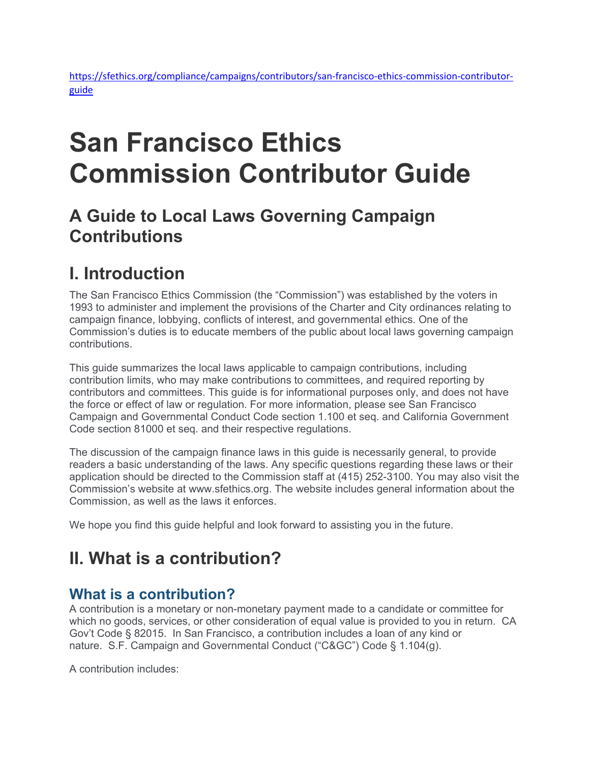# **San Francisco Ethics Commission Contributor Guide**

# **A Guide to Local Laws Governing Campaign Contributions**

# **I. Introduction**

The San Francisco Ethics Commission (the "Commission") was established by the voters in 1993 to administer and implement the provisions of the Charter and City ordinances relating to campaign finance, lobbying, conflicts of interest, and governmental ethics. One of the Commission's duties is to educate members of the public about local laws governing campaign contributions.

This guide summarizes the local laws applicable to campaign contributions, including contribution limits, who may make contributions to committees, and required reporting by contributors and committees. This guide is for informational purposes only, and does not have the force or effect of law or regulation. For more information, please see San Francisco Campaign and Governmental Conduct Code section 1.100 et seq. and California Government Code section 81000 et seq. and their respective regulations.

The discussion of the campaign finance laws in this guide is necessarily general, to provide readers a basic understanding of the laws. Any specific questions regarding these laws or their application should be directed to the Commission staff at (415) 252-3100. You may also visit the Commission's website at www.sfethics.org. The website includes general information about the Commission, as well as the laws it enforces.

We hope you find this guide helpful and look forward to assisting you in the future.

# **II. What is a contribution?**

### **What is a contribution?**

A contribution is a monetary or non-monetary payment made to a candidate or committee for which no goods, services, or other consideration of equal value is provided to you in return. CA Gov't Code § 82015. In San Francisco, a contribution includes a loan of any kind or nature. S.F. Campaign and Governmental Conduct ("C&GC") Code § 1.104(g).

A contribution includes: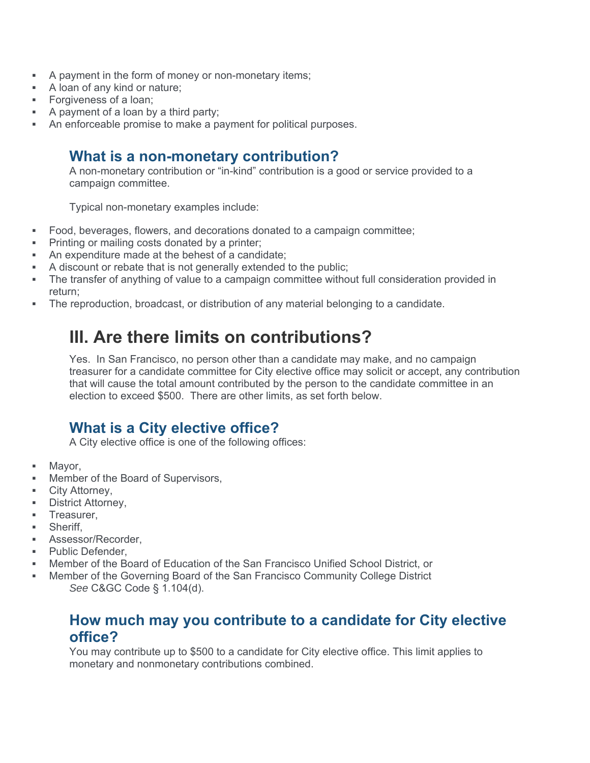- A payment in the form of money or non-monetary items;
- A loan of any kind or nature;
- **Forgiveness of a loan;**
- $\blacksquare$  A payment of a loan by a third party;
- An enforceable promise to make a payment for political purposes.

#### **What is a non-monetary contribution?**

A non-monetary contribution or "in-kind" contribution is a good or service provided to a campaign committee.

Typical non-monetary examples include:

- Food, beverages, flowers, and decorations donated to a campaign committee;
- **Printing or mailing costs donated by a printer;**
- An expenditure made at the behest of a candidate;
- A discount or rebate that is not generally extended to the public;
- The transfer of anything of value to a campaign committee without full consideration provided in return;
- The reproduction, broadcast, or distribution of any material belonging to a candidate.

# **III. Are there limits on contributions?**

Yes. In San Francisco, no person other than a candidate may make, and no campaign treasurer for a candidate committee for City elective office may solicit or accept, any contribution that will cause the total amount contributed by the person to the candidate committee in an election to exceed \$500. There are other limits, as set forth below.

### **What is a City elective office?**

A City elective office is one of the following offices:

- Mayor,
- Member of the Board of Supervisors,
- **E** City Attorney,
- **-** District Attorney,
- **Treasurer,**
- **Sheriff**
- **Assessor/Recorder.**
- **Public Defender,**
- Member of the Board of Education of the San Francisco Unified School District, or
- Member of the Governing Board of the San Francisco Community College District *See* C&GC Code § 1.104(d).

### **How much may you contribute to a candidate for City elective office?**

You may contribute up to \$500 to a candidate for City elective office. This limit applies to monetary and nonmonetary contributions combined.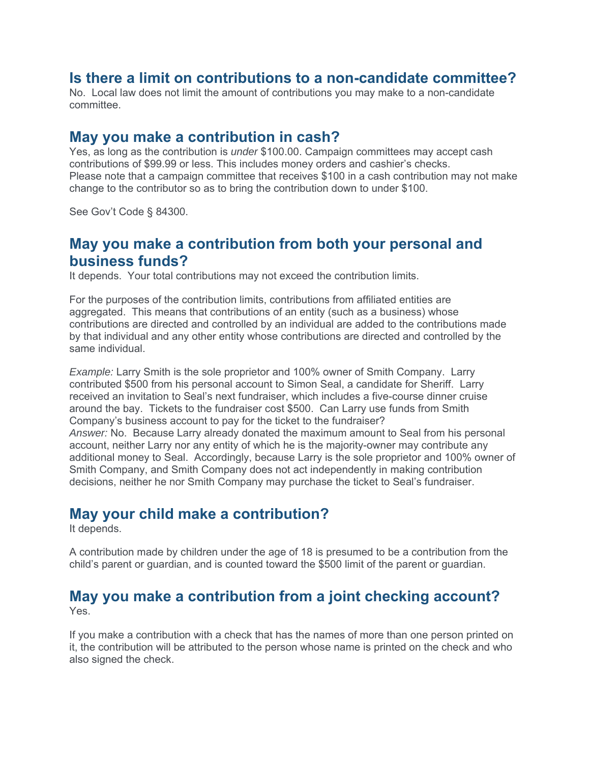### **Is there a limit on contributions to a non-candidate committee?**

No. Local law does not limit the amount of contributions you may make to a non-candidate committee.

#### **May you make a contribution in cash?**

Yes, as long as the contribution is *under* \$100.00. Campaign committees may accept cash contributions of \$99.99 or less. This includes money orders and cashier's checks. Please note that a campaign committee that receives \$100 in a cash contribution may not make change to the contributor so as to bring the contribution down to under \$100.

See Gov't Code § 84300.

#### **May you make a contribution from both your personal and business funds?**

It depends. Your total contributions may not exceed the contribution limits.

For the purposes of the contribution limits, contributions from affiliated entities are aggregated. This means that contributions of an entity (such as a business) whose contributions are directed and controlled by an individual are added to the contributions made by that individual and any other entity whose contributions are directed and controlled by the same individual.

*Example:* Larry Smith is the sole proprietor and 100% owner of Smith Company. Larry contributed \$500 from his personal account to Simon Seal, a candidate for Sheriff. Larry received an invitation to Seal's next fundraiser, which includes a five-course dinner cruise around the bay. Tickets to the fundraiser cost \$500. Can Larry use funds from Smith Company's business account to pay for the ticket to the fundraiser? *Answer:* No. Because Larry already donated the maximum amount to Seal from his personal account, neither Larry nor any entity of which he is the majority-owner may contribute any additional money to Seal. Accordingly, because Larry is the sole proprietor and 100% owner of Smith Company, and Smith Company does not act independently in making contribution decisions, neither he nor Smith Company may purchase the ticket to Seal's fundraiser.

### **May your child make a contribution?**

It depends.

A contribution made by children under the age of 18 is presumed to be a contribution from the child's parent or guardian, and is counted toward the \$500 limit of the parent or guardian.

#### **May you make a contribution from a joint checking account?**  Yes.

If you make a contribution with a check that has the names of more than one person printed on it, the contribution will be attributed to the person whose name is printed on the check and who also signed the check.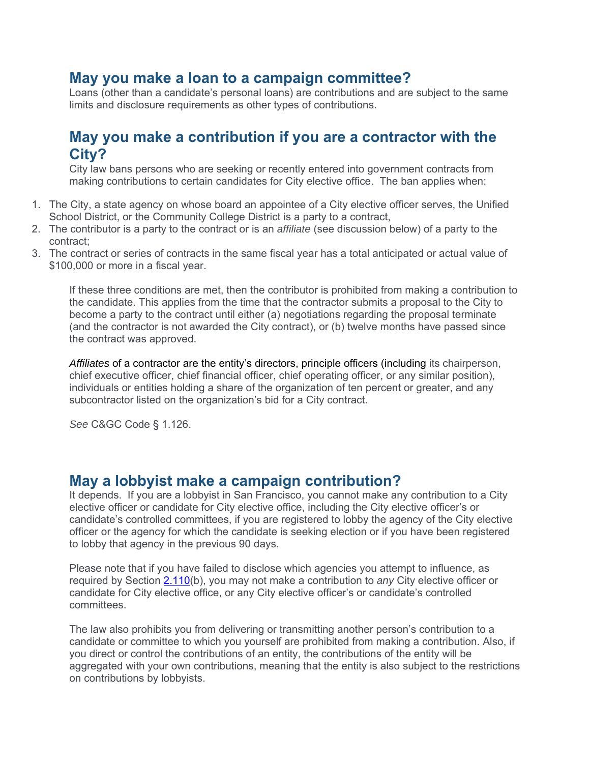### **May you make a loan to a campaign committee?**

Loans (other than a candidate's personal loans) are contributions and are subject to the same limits and disclosure requirements as other types of contributions.

### **May you make a contribution if you are a contractor with the City?**

City law bans persons who are seeking or recently entered into government contracts from making contributions to certain candidates for City elective office. The ban applies when:

- 1. The City, a state agency on whose board an appointee of a City elective officer serves, the Unified School District, or the Community College District is a party to a contract,
- 2. The contributor is a party to the contract or is an *affiliate* (see discussion below) of a party to the contract;
- 3. The contract or series of contracts in the same fiscal year has a total anticipated or actual value of \$100,000 or more in a fiscal year.

If these three conditions are met, then the contributor is prohibited from making a contribution to the candidate. This applies from the time that the contractor submits a proposal to the City to become a party to the contract until either (a) negotiations regarding the proposal terminate (and the contractor is not awarded the City contract), or (b) twelve months have passed since the contract was approved.

*Affiliates* of a contractor are the entity's directors, principle officers (including its chairperson, chief executive officer, chief financial officer, chief operating officer, or any similar position), individuals or entities holding a share of the organization of ten percent or greater, and any subcontractor listed on the organization's bid for a City contract.

*See* C&GC Code § 1.126.

#### **May a lobbyist make a campaign contribution?**

It depends. If you are a lobbyist in San Francisco, you cannot make any contribution to a City elective officer or candidate for City elective office, including the City elective officer's or candidate's controlled committees, if you are registered to lobby the agency of the City elective officer or the agency for which the candidate is seeking election or if you have been registered to lobby that agency in the previous 90 days.

Please note that if you have failed to disclose which agencies you attempt to influence, as required by Section 2.110(b), you may not make a contribution to *any* City elective officer or candidate for City elective office, or any City elective officer's or candidate's controlled committees.

The law also prohibits you from delivering or transmitting another person's contribution to a candidate or committee to which you yourself are prohibited from making a contribution. Also, if you direct or control the contributions of an entity, the contributions of the entity will be aggregated with your own contributions, meaning that the entity is also subject to the restrictions on contributions by lobbyists.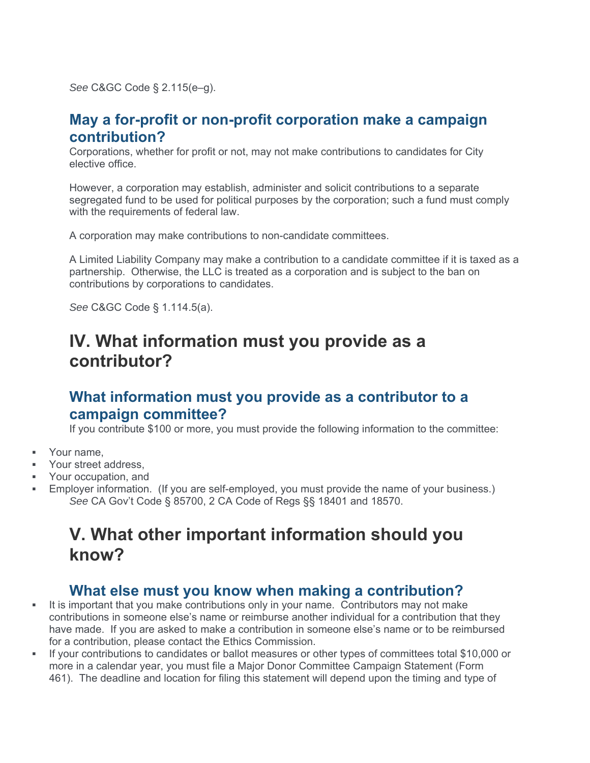*See* C&GC Code § 2.115(e–g).

#### **May a for-profit or non-profit corporation make a campaign contribution?**

Corporations, whether for profit or not, may not make contributions to candidates for City elective office.

However, a corporation may establish, administer and solicit contributions to a separate segregated fund to be used for political purposes by the corporation; such a fund must comply with the requirements of federal law.

A corporation may make contributions to non-candidate committees.

A Limited Liability Company may make a contribution to a candidate committee if it is taxed as a partnership. Otherwise, the LLC is treated as a corporation and is subject to the ban on contributions by corporations to candidates.

*See* C&GC Code § 1.114.5(a).

# **IV. What information must you provide as a contributor?**

### **What information must you provide as a contributor to a campaign committee?**

If you contribute \$100 or more, you must provide the following information to the committee:

- **Nour name**
- Your street address,
- **•** Your occupation, and
- Employer information. (If you are self-employed, you must provide the name of your business.) *See* CA Gov't Code § 85700, 2 CA Code of Regs §§ 18401 and 18570.

# **V. What other important information should you know?**

#### **What else must you know when making a contribution?**

- It is important that you make contributions only in your name. Contributors may not make contributions in someone else's name or reimburse another individual for a contribution that they have made. If you are asked to make a contribution in someone else's name or to be reimbursed for a contribution, please contact the Ethics Commission.
- If your contributions to candidates or ballot measures or other types of committees total \$10,000 or more in a calendar year, you must file a Major Donor Committee Campaign Statement (Form 461). The deadline and location for filing this statement will depend upon the timing and type of